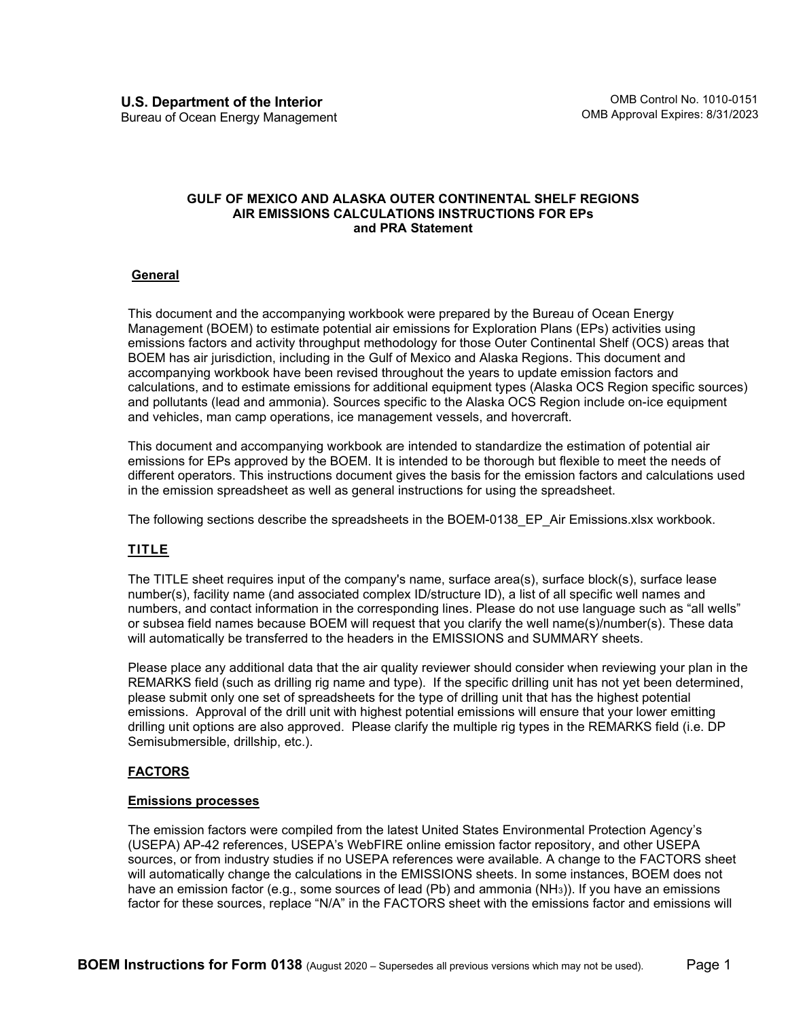#### **GULF OF MEXICO AND ALASKA OUTER CONTINENTAL SHELF REGIONS AIR EMISSIONS CALCULATIONS INSTRUCTIONS FOR EPs and PRA Statement**

# **General**

This document and the accompanying workbook were prepared by the Bureau of Ocean Energy Management (BOEM) to estimate potential air emissions for Exploration Plans (EPs) activities using emissions factors and activity throughput methodology for those Outer Continental Shelf (OCS) areas that BOEM has air jurisdiction, including in the Gulf of Mexico and Alaska Regions. This document and accompanying workbook have been revised throughout the years to update emission factors and calculations, and to estimate emissions for additional equipment types (Alaska OCS Region specific sources) and pollutants (lead and ammonia). Sources specific to the Alaska OCS Region include on-ice equipment and vehicles, man camp operations, ice management vessels, and hovercraft.

This document and accompanying workbook are intended to standardize the estimation of potential air emissions for EPs approved by the BOEM. It is intended to be thorough but flexible to meet the needs of different operators. This instructions document gives the basis for the emission factors and calculations used in the emission spreadsheet as well as general instructions for using the spreadsheet.

The following sections describe the spreadsheets in the BOEM-0138 EP Air Emissions.xlsx workbook.

# **TITLE**

The TITLE sheet requires input of the company's name, surface area(s), surface block(s), surface lease number(s), facility name (and associated complex ID/structure ID), a list of all specific well names and numbers, and contact information in the corresponding lines. Please do not use language such as "all wells" or subsea field names because BOEM will request that you clarify the well name(s)/number(s). These data will automatically be transferred to the headers in the EMISSIONS and SUMMARY sheets.

Please place any additional data that the air quality reviewer should consider when reviewing your plan in the REMARKS field (such as drilling rig name and type). If the specific drilling unit has not yet been determined, please submit only one set of spreadsheets for the type of drilling unit that has the highest potential emissions. Approval of the drill unit with highest potential emissions will ensure that your lower emitting drilling unit options are also approved. Please clarify the multiple rig types in the REMARKS field (i.e. DP Semisubmersible, drillship, etc.).

# **FACTORS**

### **Emissions processes**

The emission factors were compiled from the latest United States Environmental Protection Agency's (USEPA) AP-42 references, USEPA's WebFIRE online emission factor repository, and other USEPA sources, or from industry studies if no USEPA references were available. A change to the FACTORS sheet will automatically change the calculations in the EMISSIONS sheets. In some instances, BOEM does not have an emission factor (e.g., some sources of lead (Pb) and ammonia (NH<sub>3</sub>)). If you have an emissions factor for these sources, replace "N/A" in the FACTORS sheet with the emissions factor and emissions will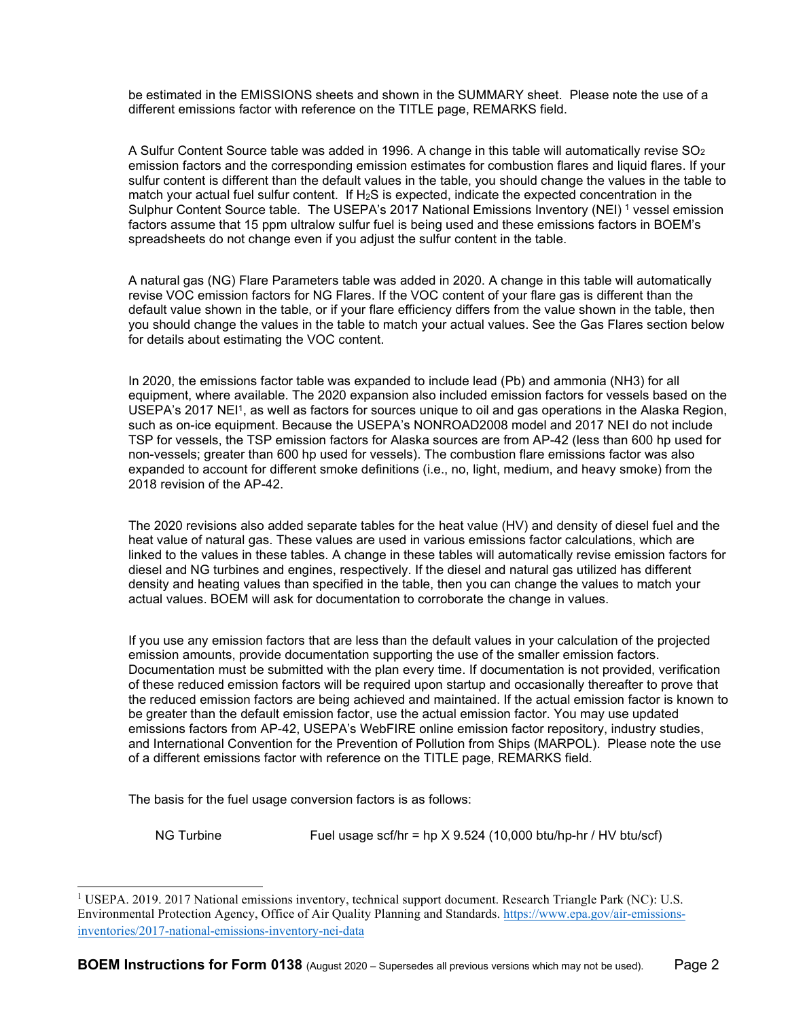be estimated in the EMISSIONS sheets and shown in the SUMMARY sheet. Please note the use of a different emissions factor with reference on the TITLE page, REMARKS field.

A Sulfur Content Source table was added in 1996. A change in this table will automatically revise SO2 emission factors and the corresponding emission estimates for combustion flares and liquid flares. If your sulfur content is different than the default values in the table, you should change the values in the table to match your actual fuel sulfur content. If  $H_2S$  is expected, indicate the expected concentration in the Sulphur Content Source table. The USEPA's 20[1](#page-1-0)7 National Emissions Inventory (NEI) <sup>1</sup> vessel emission factors assume that 15 ppm ultralow sulfur fuel is being used and these emissions factors in BOEM's spreadsheets do not change even if you adjust the sulfur content in the table.

A natural gas (NG) Flare Parameters table was added in 2020. A change in this table will automatically revise VOC emission factors for NG Flares. If the VOC content of your flare gas is different than the default value shown in the table, or if your flare efficiency differs from the value shown in the table, then you should change the values in the table to match your actual values. See the Gas Flares section below for details about estimating the VOC content.

In 2020, the emissions factor table was expanded to include lead (Pb) and ammonia (NH3) for all equipment, where available. The 2020 expansion also included emission factors for vessels based on the USEPA's 2017 NEI<sup>1</sup>, as well as factors for sources unique to oil and gas operations in the Alaska Region, such as on-ice equipment. Because the USEPA's NONROAD2008 model and 2017 NEI do not include TSP for vessels, the TSP emission factors for Alaska sources are from AP-42 (less than 600 hp used for non-vessels; greater than 600 hp used for vessels). The combustion flare emissions factor was also expanded to account for different smoke definitions (i.e., no, light, medium, and heavy smoke) from the 2018 revision of the AP-42.

The 2020 revisions also added separate tables for the heat value (HV) and density of diesel fuel and the heat value of natural gas. These values are used in various emissions factor calculations, which are linked to the values in these tables. A change in these tables will automatically revise emission factors for diesel and NG turbines and engines, respectively. If the diesel and natural gas utilized has different density and heating values than specified in the table, then you can change the values to match your actual values. BOEM will ask for documentation to corroborate the change in values.

If you use any emission factors that are less than the default values in your calculation of the projected emission amounts, provide documentation supporting the use of the smaller emission factors. Documentation must be submitted with the plan every time. If documentation is not provided, verification of these reduced emission factors will be required upon startup and occasionally thereafter to prove that the reduced emission factors are being achieved and maintained. If the actual emission factor is known to be greater than the default emission factor, use the actual emission factor. You may use updated emissions factors from AP-42, USEPA's WebFIRE online emission factor repository, industry studies, and International Convention for the Prevention of Pollution from Ships (MARPOL). Please note the use of a different emissions factor with reference on the TITLE page, REMARKS field.

The basis for the fuel usage conversion factors is as follows:

NG Turbine Fuel usage scf/hr = hp X 9.524 (10,000 btu/hp-hr / HV btu/scf)

<span id="page-1-0"></span><sup>&</sup>lt;sup>1</sup> USEPA. 2019. 2017 National emissions inventory, technical support document. Research Triangle Park (NC): U.S. Environmental Protection Agency, Office of Air Quality Planning and Standards. [https://www.epa.gov/air-emissions](https://www.epa.gov/air-emissions-inventories/2017-national-emissions-inventory-nei-data)[inventories/2017-national-emissions-inventory-nei-data](https://www.epa.gov/air-emissions-inventories/2017-national-emissions-inventory-nei-data)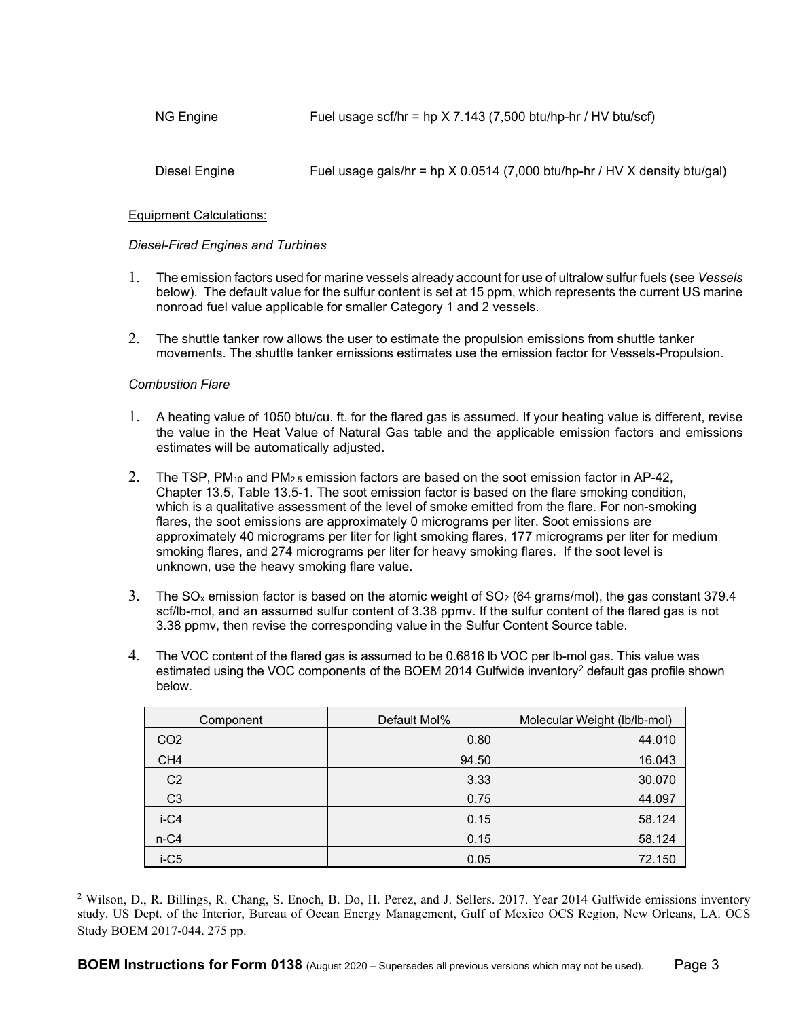Diesel Engine Fuel usage gals/hr = hp  $X$  0.0514 (7,000 btu/hp-hr / HV X density btu/gal)

### Equipment Calculations:

### *Diesel-Fired Engines and Turbines*

- 1. The emission factors used for marine vessels already account for use of ultralow sulfur fuels (see *Vessels* below). The default value for the sulfur content is set at 15 ppm, which represents the current US marine nonroad fuel value applicable for smaller Category 1 and 2 vessels.
- 2. The shuttle tanker row allows the user to estimate the propulsion emissions from shuttle tanker movements. The shuttle tanker emissions estimates use the emission factor for Vessels-Propulsion.

### *Combustion Flare*

- 1. A heating value of 1050 btu/cu. ft. for the flared gas is assumed. If your heating value is different, revise the value in the Heat Value of Natural Gas table and the applicable emission factors and emissions estimates will be automatically adjusted.
- 2. The TSP, PM<sub>10</sub> and PM<sub>2.5</sub> emission factors are based on the soot emission factor in AP-42, Chapter 13.5, Table 13.5-1. The soot emission factor is based on the flare smoking condition, which is a qualitative assessment of the level of smoke emitted from the flare. For non-smoking flares, the soot emissions are approximately 0 micrograms per liter. Soot emissions are approximately 40 micrograms per liter for light smoking flares, 177 micrograms per liter for medium smoking flares, and 274 micrograms per liter for heavy smoking flares. If the soot level is unknown, use the heavy smoking flare value.
- 3. The SO<sub>x</sub> emission factor is based on the atomic weight of SO<sub>2</sub> (64 grams/mol), the gas constant 379.4 scf/lb-mol, and an assumed sulfur content of 3.38 ppmv. If the sulfur content of the flared gas is not 3.38 ppmv, then revise the corresponding value in the Sulfur Content Source table.
- 4. The VOC content of the flared gas is assumed to be 0.6816 lb VOC per lb-mol gas. This value was estimated using the VOC components of the BOEM [2](#page-2-0)014 Gulfwide inventory<sup>2</sup> default gas profile shown below.

| Component       | Default Mol% | Molecular Weight (lb/lb-mol) |
|-----------------|--------------|------------------------------|
| CO <sub>2</sub> | 0.80         | 44.010                       |
| CH <sub>4</sub> | 94.50        | 16.043                       |
| C <sub>2</sub>  | 3.33         | 30.070                       |
| C <sub>3</sub>  | 0.75         | 44.097                       |
| $i-C4$          | 0.15         | 58.124                       |
| $n-C4$          | 0.15         | 58.124                       |
| $i-C5$          | 0.05         | 72.150                       |

<span id="page-2-0"></span><sup>&</sup>lt;sup>2</sup> Wilson, D., R. Billings, R. Chang, S. Enoch, B. Do, H. Perez, and J. Sellers. 2017. Year 2014 Gulfwide emissions inventory study. US Dept. of the Interior, Bureau of Ocean Energy Management, Gulf of Mexico OCS Region, New Orleans, LA. OCS Study BOEM 2017-044. 275 pp.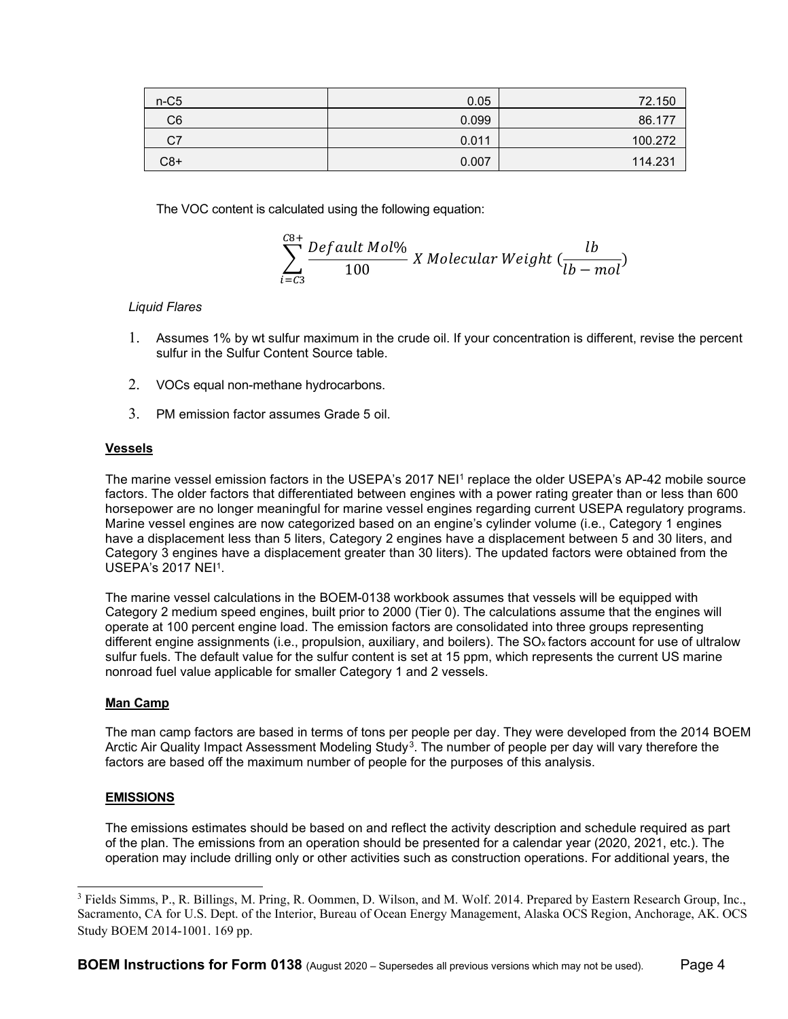| $n-C5$         | 0.05  | 72.150  |
|----------------|-------|---------|
| C <sub>6</sub> | 0.099 | 86.177  |
| C7             | 0.011 | 100.272 |
| C8+            | 0.007 | 114.231 |

The VOC content is calculated using the following equation:

$$
\sum_{i=C3}^{C8+}
$$
 *Default Mol% X Molecular Weight*  $\left(\frac{lb}{lb - mol}\right)$ 

# *Liquid Flares*

- 1. Assumes 1% by wt sulfur maximum in the crude oil. If your concentration is different, revise the percent sulfur in the Sulfur Content Source table.
- 2. VOCs equal non-methane hydrocarbons.
- 3. PM emission factor assumes Grade 5 oil.

### **Vessels**

The marine vessel emission factors in the USEPA's 2017 NEI<sup>1</sup> replace the older USEPA's AP-42 mobile source factors. The older factors that differentiated between engines with a power rating greater than or less than 600 horsepower are no longer meaningful for marine vessel engines regarding current USEPA regulatory programs. Marine vessel engines are now categorized based on an engine's cylinder volume (i.e., Category 1 engines have a displacement less than 5 liters, Category 2 engines have a displacement between 5 and 30 liters, and Category 3 engines have a displacement greater than 30 liters). The updated factors were obtained from the USEPA's 2017 NEI1.

The marine vessel calculations in the BOEM-0138 workbook assumes that vessels will be equipped with Category 2 medium speed engines, built prior to 2000 (Tier 0). The calculations assume that the engines will operate at 100 percent engine load. The emission factors are consolidated into three groups representing different engine assignments (i.e., propulsion, auxiliary, and boilers). The SO<sub>x</sub> factors account for use of ultralow sulfur fuels. The default value for the sulfur content is set at 15 ppm, which represents the current US marine nonroad fuel value applicable for smaller Category 1 and 2 vessels.

### **Man Camp**

The man camp factors are based in terms of tons per people per day. They were developed from the 2014 BOEM Arctic Air Quality Impact Assessment Modeling Study<sup>3</sup>. The number of people per day will vary therefore the factors are based off the maximum number of people for the purposes of this analysis.

# **EMISSIONS**

The emissions estimates should be based on and reflect the activity description and schedule required as part of the plan. The emissions from an operation should be presented for a calendar year (2020, 2021, etc.). The operation may include drilling only or other activities such as construction operations. For additional years, the

<span id="page-3-0"></span><sup>3</sup> Fields Simms, P., R. Billings, M. Pring, R. Oommen, D. Wilson, and M. Wolf. 2014. Prepared by Eastern Research Group, Inc., Sacramento, CA for U.S. Dept. of the Interior, Bureau of Ocean Energy Management, Alaska OCS Region, Anchorage, AK. OCS Study BOEM 2014-1001. 169 pp.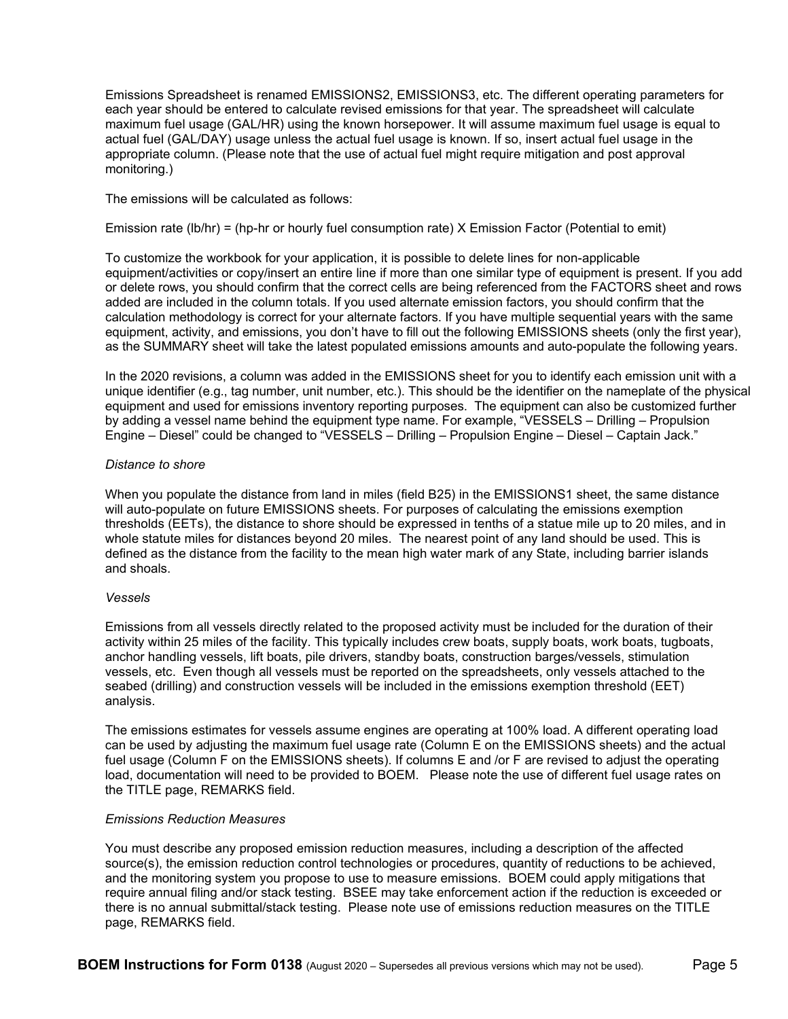Emissions Spreadsheet is renamed EMISSIONS2, EMISSIONS3, etc. The different operating parameters for each year should be entered to calculate revised emissions for that year. The spreadsheet will calculate maximum fuel usage (GAL/HR) using the known horsepower. It will assume maximum fuel usage is equal to actual fuel (GAL/DAY) usage unless the actual fuel usage is known. If so, insert actual fuel usage in the appropriate column. (Please note that the use of actual fuel might require mitigation and post approval monitoring.)

The emissions will be calculated as follows:

Emission rate (lb/hr) = (hp-hr or hourly fuel consumption rate) X Emission Factor (Potential to emit)

To customize the workbook for your application, it is possible to delete lines for non-applicable equipment/activities or copy/insert an entire line if more than one similar type of equipment is present. If you add or delete rows, you should confirm that the correct cells are being referenced from the FACTORS sheet and rows added are included in the column totals. If you used alternate emission factors, you should confirm that the calculation methodology is correct for your alternate factors. If you have multiple sequential years with the same equipment, activity, and emissions, you don't have to fill out the following EMISSIONS sheets (only the first year), as the SUMMARY sheet will take the latest populated emissions amounts and auto-populate the following years.

In the 2020 revisions, a column was added in the EMISSIONS sheet for you to identify each emission unit with a unique identifier (e.g., tag number, unit number, etc.). This should be the identifier on the nameplate of the physical equipment and used for emissions inventory reporting purposes. The equipment can also be customized further by adding a vessel name behind the equipment type name. For example, "VESSELS – Drilling – Propulsion Engine – Diesel" could be changed to "VESSELS – Drilling – Propulsion Engine – Diesel – Captain Jack."

### *Distance to shore*

When you populate the distance from land in miles (field B25) in the EMISSIONS1 sheet, the same distance will auto-populate on future EMISSIONS sheets. For purposes of calculating the emissions exemption thresholds (EETs), the distance to shore should be expressed in tenths of a statue mile up to 20 miles, and in whole statute miles for distances beyond 20 miles. The nearest point of any land should be used. This is defined as the distance from the facility to the mean high water mark of any State, including barrier islands and shoals.

### *Vessels*

Emissions from all vessels directly related to the proposed activity must be included for the duration of their activity within 25 miles of the facility. This typically includes crew boats, supply boats, work boats, tugboats, anchor handling vessels, lift boats, pile drivers, standby boats, construction barges/vessels, stimulation vessels, etc. Even though all vessels must be reported on the spreadsheets, only vessels attached to the seabed (drilling) and construction vessels will be included in the emissions exemption threshold (EET) analysis.

The emissions estimates for vessels assume engines are operating at 100% load. A different operating load can be used by adjusting the maximum fuel usage rate (Column E on the EMISSIONS sheets) and the actual fuel usage (Column F on the EMISSIONS sheets). If columns E and /or F are revised to adjust the operating load, documentation will need to be provided to BOEM. Please note the use of different fuel usage rates on the TITLE page, REMARKS field.

### *Emissions Reduction Measures*

You must describe any proposed emission reduction measures, including a description of the affected source(s), the emission reduction control technologies or procedures, quantity of reductions to be achieved, and the monitoring system you propose to use to measure emissions. BOEM could apply mitigations that require annual filing and/or stack testing. BSEE may take enforcement action if the reduction is exceeded or there is no annual submittal/stack testing. Please note use of emissions reduction measures on the TITLE page, REMARKS field.